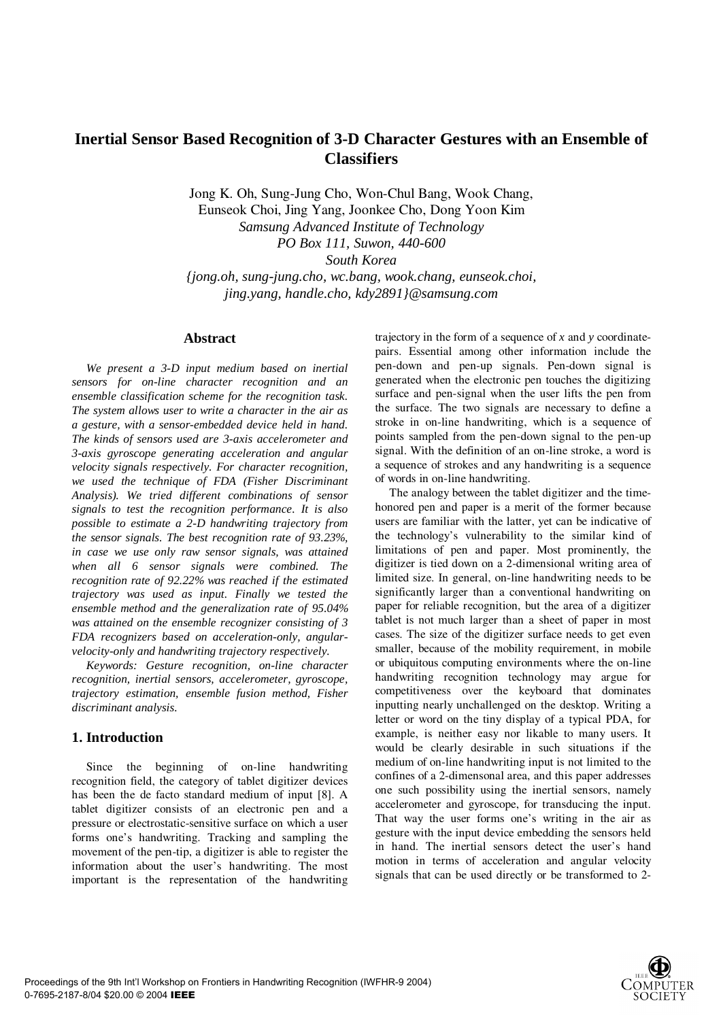# **Inertial Sensor Based Recognition of 3-D Character Gestures with an Ensemble of Classifiers**

Jong K. Oh, Sung-Jung Cho, Won-Chul Bang, Wook Chang,

Eunseok Choi, Jing Yang, Joonkee Cho, Dong Yoon Kim *Samsung Advanced Institute of Technology PO Box 111, Suwon, 440-600 South Korea {jong.oh, sung-jung.cho, wc.bang, wook.chang, eunseok.choi,* 

*jing.yang, handle.cho, kdy2891}@samsung.com*

#### **Abstract**

*We present a 3-D input medium based on inertial sensors for on-line character recognition and an ensemble classification scheme for the recognition task. The system allows user to write a character in the air as a gesture, with a sensor-embedded device held in hand. The kinds of sensors used are 3-axis accelerometer and 3-axis gyroscope generating acceleration and angular velocity signals respectively. For character recognition, we used the technique of FDA (Fisher Discriminant Analysis). We tried different combinations of sensor signals to test the recognition performance. It is also possible to estimate a 2-D handwriting trajectory from the sensor signals. The best recognition rate of 93.23%, in case we use only raw sensor signals, was attained when all 6 sensor signals were combined. The recognition rate of 92.22% was reached if the estimated trajectory was used as input. Finally we tested the ensemble method and the generalization rate of 95.04% was attained on the ensemble recognizer consisting of 3 FDA recognizers based on acceleration-only, angularvelocity-only and handwriting trajectory respectively.* 

*Keywords: Gesture recognition, on-line character recognition, inertial sensors, accelerometer, gyroscope, trajectory estimation, ensemble fusion method, Fisher discriminant analysis.* 

### **1. Introduction**

Since the beginning of on-line handwriting recognition field, the category of tablet digitizer devices has been the de facto standard medium of input [8]. A tablet digitizer consists of an electronic pen and a pressure or electrostatic-sensitive surface on which a user forms one's handwriting. Tracking and sampling the movement of the pen-tip, a digitizer is able to register the information about the user's handwriting. The most important is the representation of the handwriting

trajectory in the form of a sequence of *x* and *y* coordinatepairs. Essential among other information include the pen-down and pen-up signals. Pen-down signal is generated when the electronic pen touches the digitizing surface and pen-signal when the user lifts the pen from the surface. The two signals are necessary to define a stroke in on-line handwriting, which is a sequence of points sampled from the pen-down signal to the pen-up signal. With the definition of an on-line stroke, a word is a sequence of strokes and any handwriting is a sequence of words in on-line handwriting.

The analogy between the tablet digitizer and the timehonored pen and paper is a merit of the former because users are familiar with the latter, yet can be indicative of the technology's vulnerability to the similar kind of limitations of pen and paper. Most prominently, the digitizer is tied down on a 2-dimensional writing area of limited size. In general, on-line handwriting needs to be significantly larger than a conventional handwriting on paper for reliable recognition, but the area of a digitizer tablet is not much larger than a sheet of paper in most cases. The size of the digitizer surface needs to get even smaller, because of the mobility requirement, in mobile or ubiquitous computing environments where the on-line handwriting recognition technology may argue for competitiveness over the keyboard that dominates inputting nearly unchallenged on the desktop. Writing a letter or word on the tiny display of a typical PDA, for example, is neither easy nor likable to many users. It would be clearly desirable in such situations if the medium of on-line handwriting input is not limited to the confines of a 2-dimensonal area, and this paper addresses one such possibility using the inertial sensors, namely accelerometer and gyroscope, for transducing the input. That way the user forms one's writing in the air as gesture with the input device embedding the sensors held in hand. The inertial sensors detect the user's hand motion in terms of acceleration and angular velocity signals that can be used directly or be transformed to 2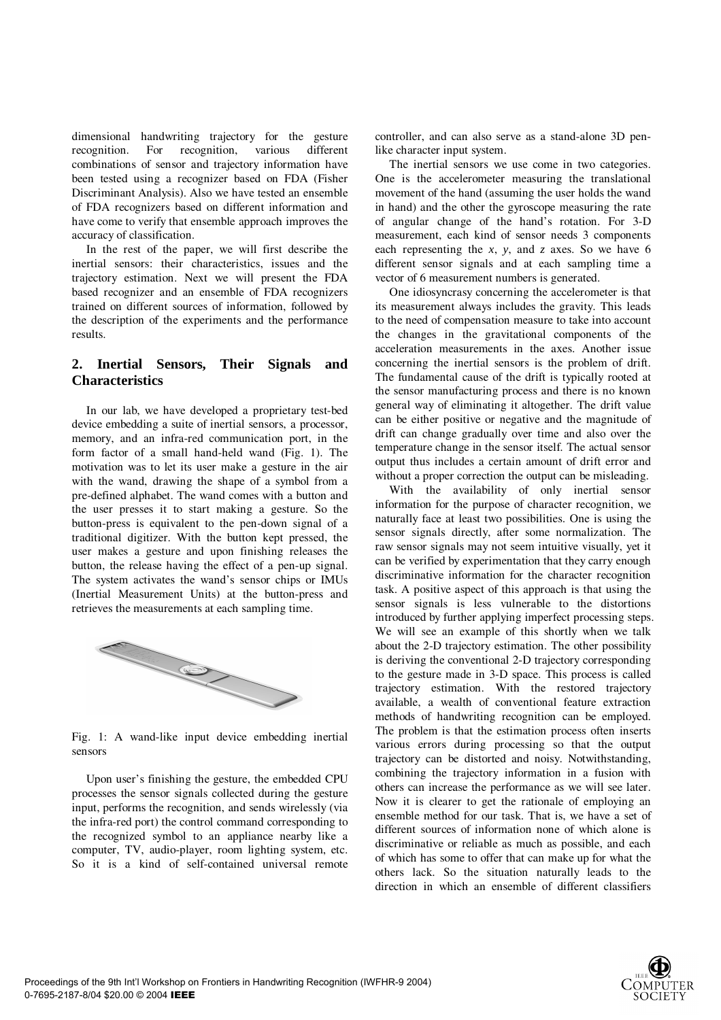dimensional handwriting trajectory for the gesture recognition. For recognition, various different combinations of sensor and trajectory information have been tested using a recognizer based on FDA (Fisher Discriminant Analysis). Also we have tested an ensemble of FDA recognizers based on different information and have come to verify that ensemble approach improves the accuracy of classification.

In the rest of the paper, we will first describe the inertial sensors: their characteristics, issues and the trajectory estimation. Next we will present the FDA based recognizer and an ensemble of FDA recognizers trained on different sources of information, followed by the description of the experiments and the performance results.

# **2. Inertial Sensors, Their Signals and Characteristics**

In our lab, we have developed a proprietary test-bed device embedding a suite of inertial sensors, a processor, memory, and an infra-red communication port, in the form factor of a small hand-held wand (Fig. 1). The motivation was to let its user make a gesture in the air with the wand, drawing the shape of a symbol from a pre-defined alphabet. The wand comes with a button and the user presses it to start making a gesture. So the button-press is equivalent to the pen-down signal of a traditional digitizer. With the button kept pressed, the user makes a gesture and upon finishing releases the button, the release having the effect of a pen-up signal. The system activates the wand's sensor chips or IMUs (Inertial Measurement Units) at the button-press and retrieves the measurements at each sampling time.



Fig. 1: A wand-like input device embedding inertial sensors

Upon user's finishing the gesture, the embedded CPU processes the sensor signals collected during the gesture input, performs the recognition, and sends wirelessly (via the infra-red port) the control command corresponding to the recognized symbol to an appliance nearby like a computer, TV, audio-player, room lighting system, etc. So it is a kind of self-contained universal remote

controller, and can also serve as a stand-alone 3D penlike character input system.

The inertial sensors we use come in two categories. One is the accelerometer measuring the translational movement of the hand (assuming the user holds the wand in hand) and the other the gyroscope measuring the rate of angular change of the hand's rotation. For 3-D measurement, each kind of sensor needs 3 components each representing the *x*, *y*, and *z* axes. So we have 6 different sensor signals and at each sampling time a vector of 6 measurement numbers is generated.

One idiosyncrasy concerning the accelerometer is that its measurement always includes the gravity. This leads to the need of compensation measure to take into account the changes in the gravitational components of the acceleration measurements in the axes. Another issue concerning the inertial sensors is the problem of drift. The fundamental cause of the drift is typically rooted at the sensor manufacturing process and there is no known general way of eliminating it altogether. The drift value can be either positive or negative and the magnitude of drift can change gradually over time and also over the temperature change in the sensor itself. The actual sensor output thus includes a certain amount of drift error and without a proper correction the output can be misleading.

With the availability of only inertial sensor information for the purpose of character recognition, we naturally face at least two possibilities. One is using the sensor signals directly, after some normalization. The raw sensor signals may not seem intuitive visually, yet it can be verified by experimentation that they carry enough discriminative information for the character recognition task. A positive aspect of this approach is that using the sensor signals is less vulnerable to the distortions introduced by further applying imperfect processing steps. We will see an example of this shortly when we talk about the 2-D trajectory estimation. The other possibility is deriving the conventional 2-D trajectory corresponding to the gesture made in 3-D space. This process is called trajectory estimation. With the restored trajectory available, a wealth of conventional feature extraction methods of handwriting recognition can be employed. The problem is that the estimation process often inserts various errors during processing so that the output trajectory can be distorted and noisy. Notwithstanding, combining the trajectory information in a fusion with others can increase the performance as we will see later. Now it is clearer to get the rationale of employing an ensemble method for our task. That is, we have a set of different sources of information none of which alone is discriminative or reliable as much as possible, and each of which has some to offer that can make up for what the others lack. So the situation naturally leads to the direction in which an ensemble of different classifiers

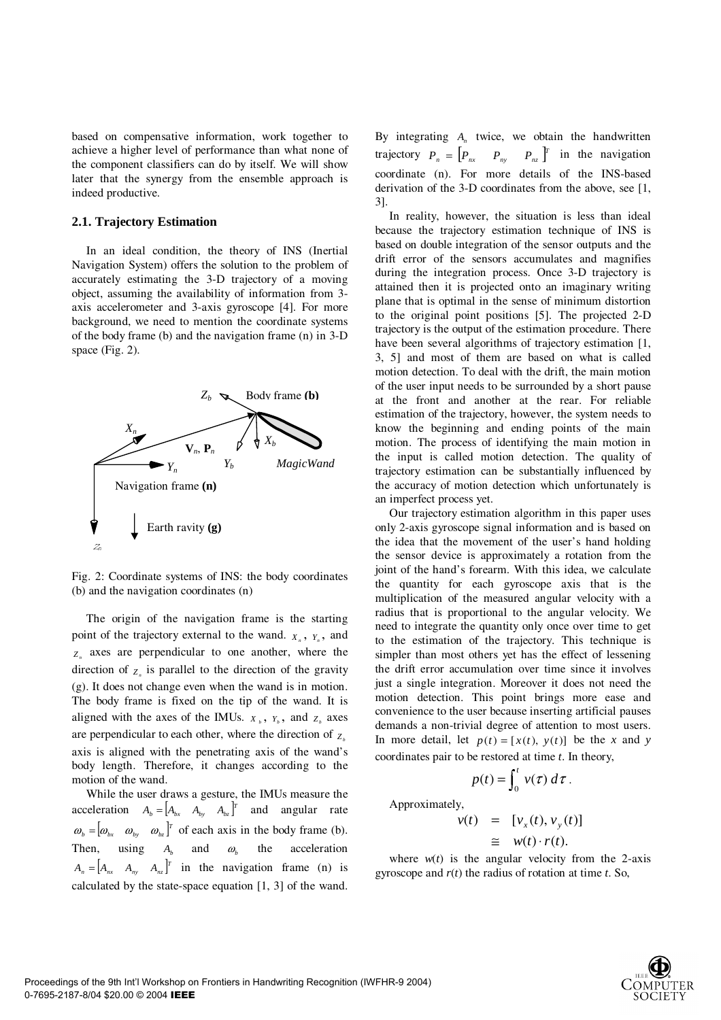based on compensative information, work together to achieve a higher level of performance than what none of the component classifiers can do by itself. We will show later that the synergy from the ensemble approach is indeed productive.

#### **2.1. Trajectory Estimation**

In an ideal condition, the theory of INS (Inertial Navigation System) offers the solution to the problem of accurately estimating the 3-D trajectory of a moving object, assuming the availability of information from 3 axis accelerometer and 3-axis gyroscope [4]. For more background, we need to mention the coordinate systems of the body frame (b) and the navigation frame (n) in 3-D space (Fig. 2).



Fig. 2: Coordinate systems of INS: the body coordinates (b) and the navigation coordinates (n)

The origin of the navigation frame is the starting point of the trajectory external to the wand.  $X_n$ ,  $Y_n$ , and  $Z_n$  axes are perpendicular to one another, where the direction of  $Z$  is parallel to the direction of the gravity (g). It does not change even when the wand is in motion. The body frame is fixed on the tip of the wand. It is aligned with the axes of the IMUs.  $X_b$ ,  $Y_b$ , and  $Z_b$  axes are perpendicular to each other, where the direction of  $Z_b$ axis is aligned with the penetrating axis of the wand's body length. Therefore, it changes according to the motion of the wand.

While the user draws a gesture, the IMUs measure the acceleration  $A_b = \begin{bmatrix} A_{bx} & A_{by} & A_{bz} \end{bmatrix}^T$  and angular rate  $\omega_b = [\omega_{bx} \quad \omega_{bx} \quad \omega_{bx}]^T$  of each axis in the body frame (b). Then, using  $A_b$  and  $\omega_b$  the acceleration  $A_n = \begin{bmatrix} A_{nx} & A_{ny} & A_{nz} \end{bmatrix}^T$  in the navigation frame (n) is calculated by the state-space equation [1, 3] of the wand.

By integrating  $A_n$  twice, we obtain the handwritten trajectory  $P_n = \begin{bmatrix} P_{nx} & P_{ny} & P_{nz} \end{bmatrix}^T$  in the navigation coordinate (n). For more details of the INS-based derivation of the 3-D coordinates from the above, see [1, 3].

In reality, however, the situation is less than ideal because the trajectory estimation technique of INS is based on double integration of the sensor outputs and the drift error of the sensors accumulates and magnifies during the integration process. Once 3-D trajectory is attained then it is projected onto an imaginary writing plane that is optimal in the sense of minimum distortion to the original point positions [5]. The projected 2-D trajectory is the output of the estimation procedure. There have been several algorithms of trajectory estimation [1, 3, 5] and most of them are based on what is called motion detection. To deal with the drift, the main motion of the user input needs to be surrounded by a short pause at the front and another at the rear. For reliable estimation of the trajectory, however, the system needs to know the beginning and ending points of the main motion. The process of identifying the main motion in the input is called motion detection. The quality of trajectory estimation can be substantially influenced by the accuracy of motion detection which unfortunately is an imperfect process yet.

Our trajectory estimation algorithm in this paper uses only 2-axis gyroscope signal information and is based on the idea that the movement of the user's hand holding the sensor device is approximately a rotation from the joint of the hand's forearm. With this idea, we calculate the quantity for each gyroscope axis that is the multiplication of the measured angular velocity with a radius that is proportional to the angular velocity. We need to integrate the quantity only once over time to get to the estimation of the trajectory. This technique is simpler than most others yet has the effect of lessening the drift error accumulation over time since it involves just a single integration. Moreover it does not need the motion detection. This point brings more ease and convenience to the user because inserting artificial pauses demands a non-trivial degree of attention to most users. In more detail, let  $p(t) = [x(t), y(t)]$  be the *x* and *y* coordinates pair to be restored at time *t*. In theory,

$$
p(t) = \int_0^t v(\tau) d\tau.
$$

Approximately,

$$
v(t) = [v_x(t), v_y(t)]
$$
  
\n
$$
\cong w(t) \cdot r(t).
$$

where  $w(t)$  is the angular velocity from the 2-axis gyroscope and *r*(*t*) the radius of rotation at time *t*. So,

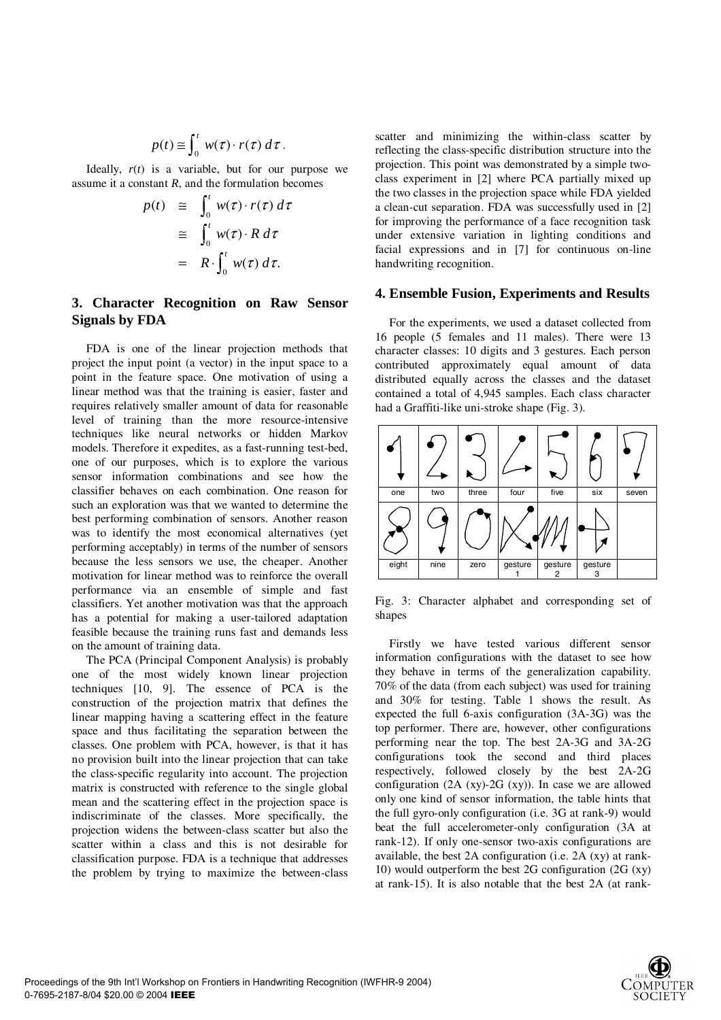$$
p(t) \cong \int_0^t w(\tau) \cdot r(\tau) d\tau.
$$
  
Ideally,  $r(t)$  is a variable, but for our purpose we

assume it a constant *R*, and the formulation becomes

$$
p(t) \cong \int_0^t w(\tau) \cdot r(\tau) d\tau
$$
  
\n
$$
\cong \int_0^t w(\tau) \cdot R d\tau
$$
  
\n
$$
= R \cdot \int_0^t w(\tau) d\tau.
$$

# **3. Character Recognition on Raw Sensor Signals by FDA**

FDA is one of the linear projection methods that project the input point (a vector) in the input space to a point in the feature space. One motivation of using a linear method was that the training is easier, faster and requires relatively smaller amount of data for reasonable level of training than the more resource-intensive techniques like neural networks or hidden Markov models. Therefore it expedites, as a fast-running test-bed, one of our purposes, which is to explore the various sensor information combinations and see how the classifier behaves on each combination. One reason for such an exploration was that we wanted to determine the best performing combination of sensors. Another reason was to identify the most economical alternatives (yet performing acceptably) in terms of the number of sensors because the less sensors we use, the cheaper. Another motivation for linear method was to reinforce the overall performance via an ensemble of simple and fast classifiers. Yet another motivation was that the approach has a potential for making a user-tailored adaptation feasible because the training runs fast and demands less on the amount of training data.

The PCA (Principal Component Analysis) is probably one of the most widely known linear projection techniques [10, 9]. The essence of PCA is the construction of the projection matrix that defines the linear mapping having a scattering effect in the feature space and thus facilitating the separation between the classes. One problem with PCA, however, is that it has no provision built into the linear projection that can take the class-specific regularity into account. The projection matrix is constructed with reference to the single global mean and the scattering effect in the projection space is indiscriminate of the classes. More specifically, the projection widens the between-class scatter but also the scatter within a class and this is not desirable for classification purpose. FDA is a technique that addresses the problem by trying to maximize the between-class

scatter and minimizing the within-class scatter by reflecting the class-specific distribution structure into the projection. This point was demonstrated by a simple twoclass experiment in [2] where PCA partially mixed up the two classes in the projection space while FDA yielded a clean-cut separation. FDA was successfully used in [2] for improving the performance of a face recognition task under extensive variation in lighting conditions and facial expressions and in [7] for continuous on-line handwriting recognition.

#### **4. Ensemble Fusion, Experiments and Results**

For the experiments, we used a dataset collected from 16 people (5 females and 11 males). There were 13 character classes: 10 digits and 3 gestures. Each person contributed approximately equal amount of data distributed equally across the classes and the dataset contained a total of 4,945 samples. Each class character had a Graffiti-like uni-stroke shape (Fig. 3).



Fig. 3: Character alphabet and corresponding set of shapes

Firstly we have tested various different sensor information configurations with the dataset to see how they behave in terms of the generalization capability. 70% of the data (from each subject) was used for training and 30% for testing. Table 1 shows the result. As expected the full 6-axis configuration (3A-3G) was the top performer. There are, however, other configurations performing near the top. The best 2A-3G and 3A-2G configurations took the second and third places respectively, followed closely by the best 2A-2G configuration  $(2A (xy)-2G (xy))$ . In case we are allowed only one kind of sensor information, the table hints that the full gyro-only configuration (i.e. 3G at rank-9) would beat the full accelerometer-only configuration (3A at rank-12). If only one-sensor two-axis configurations are available, the best 2A configuration (i.e. 2A (xy) at rank-10) would outperform the best 2G configuration (2G (xy) at rank-15). It is also notable that the best 2A (at rank-

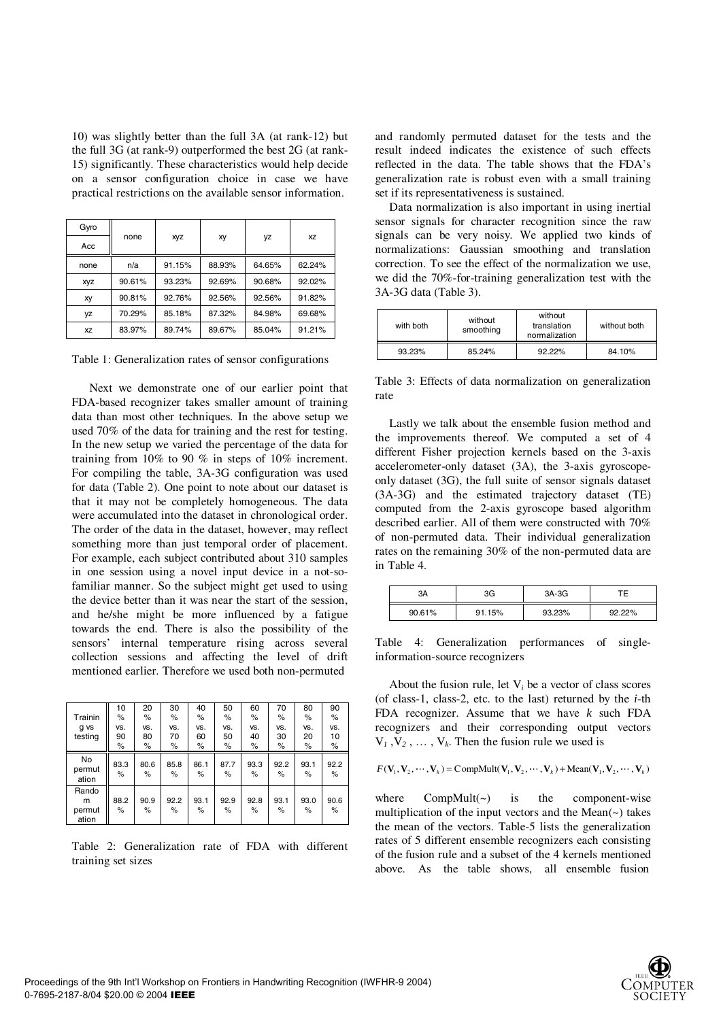10) was slightly better than the full 3A (at rank-12) but the full 3G (at rank-9) outperformed the best 2G (at rank-15) significantly. These characteristics would help decide on a sensor configuration choice in case we have practical restrictions on the available sensor information.

| Gyro       |        | Xyz    | xy     | yz     |           |  |
|------------|--------|--------|--------|--------|-----------|--|
| Acc        | none   |        |        |        | <b>XZ</b> |  |
| none       | n/a    | 91.15% | 88.93% | 64.65% | 62.24%    |  |
| <b>XVZ</b> | 90.61% | 93.23% | 92.69% | 90.68% | 92.02%    |  |
| хy         | 90.81% | 92.76% | 92.56% | 92.56% | 91.82%    |  |
| yz         | 70.29% | 85.18% | 87.32% | 84.98% | 69.68%    |  |
| <b>XZ</b>  | 83.97% | 89.74% | 89.67% | 85.04% | 91.21%    |  |

Table 1: Generalization rates of sensor configurations

 Next we demonstrate one of our earlier point that FDA-based recognizer takes smaller amount of training data than most other techniques. In the above setup we used 70% of the data for training and the rest for testing. In the new setup we varied the percentage of the data for training from 10% to 90 % in steps of 10% increment. For compiling the table, 3A-3G configuration was used for data (Table 2). One point to note about our dataset is that it may not be completely homogeneous. The data were accumulated into the dataset in chronological order. The order of the data in the dataset, however, may reflect something more than just temporal order of placement. For example, each subject contributed about 310 samples in one session using a novel input device in a not-sofamiliar manner. So the subject might get used to using the device better than it was near the start of the session, and he/she might be more influenced by a fatigue towards the end. There is also the possibility of the sensors' internal temperature rising across several collection sessions and affecting the level of drift mentioned earlier. Therefore we used both non-permuted

|                               | 10            | 20           | 30        | 40           | 50           | 60           | 70           | 80           | 90              |
|-------------------------------|---------------|--------------|-----------|--------------|--------------|--------------|--------------|--------------|-----------------|
| Trainin                       | $\%$          | %            | $\%$      | $\%$         | $\%$         | %            | %            | $\%$         | %               |
| g vs                          | VS.           | VS.          | VS.       | VS.          | VS.          | VS.          | VS.          | VS.          | VS.             |
| testing                       | 90            | 80           | 70        | 60           | 50           | 40           | 30           | 20           | 10              |
|                               | $\frac{9}{6}$ | %            | $\%$      | $\%$         | %            | $\%$         | ℅            | %            | $\frac{\%}{\%}$ |
| No<br>permut<br>ation         | 83.3<br>%     | 80.6<br>%    | 85.8<br>% | 86.1<br>$\%$ | 87.7<br>$\%$ | 93.3<br>$\%$ | 92.2<br>$\%$ | 93.1<br>$\%$ | 92.2<br>$\%$    |
| Rando<br>m<br>permut<br>ation | 88.2<br>%     | 90.9<br>$\%$ | 92.2<br>% | 93.1<br>%    | 92.9<br>$\%$ | 92.8<br>$\%$ | 93.1<br>$\%$ | 93.0<br>$\%$ | 90.6<br>$\%$    |

Table 2: Generalization rate of FDA with different training set sizes

and randomly permuted dataset for the tests and the result indeed indicates the existence of such effects reflected in the data. The table shows that the FDA's generalization rate is robust even with a small training set if its representativeness is sustained.

Data normalization is also important in using inertial sensor signals for character recognition since the raw signals can be very noisy. We applied two kinds of normalizations: Gaussian smoothing and translation correction. To see the effect of the normalization we use, we did the 70%-for-training generalization test with the 3A-3G data (Table 3).

| without<br>with both<br>smoothing |        | without<br>translation<br>normalization | without both |
|-----------------------------------|--------|-----------------------------------------|--------------|
| 93.23%                            | 85.24% | 92.22%                                  | 84.10%       |

Table 3: Effects of data normalization on generalization rate

Lastly we talk about the ensemble fusion method and the improvements thereof. We computed a set of 4 different Fisher projection kernels based on the 3-axis accelerometer-only dataset (3A), the 3-axis gyroscopeonly dataset (3G), the full suite of sensor signals dataset (3A-3G) and the estimated trajectory dataset (TE) computed from the 2-axis gyroscope based algorithm described earlier. All of them were constructed with 70% of non-permuted data. Their individual generalization rates on the remaining 30% of the non-permuted data are in Table 4.

| ЗΑ     | 3G     | 3A-3G  | TЕ     |  |
|--------|--------|--------|--------|--|
| 90.61% | 91.15% | 93.23% | 92.22% |  |

Table 4: Generalization performances of singleinformation-source recognizers

About the fusion rule, let  $V_i$  be a vector of class scores (of class-1, class-2, etc. to the last) returned by the *i*-th FDA recognizer. Assume that we have *k* such FDA recognizers and their corresponding output vectors  $V_1$ ,  $V_2$ , ...,  $V_k$ . Then the fusion rule we used is

$$
F(\mathbf{V}_1, \mathbf{V}_2, \cdots, \mathbf{V}_k) = \text{CompMult}(\mathbf{V}_1, \mathbf{V}_2, \cdots, \mathbf{V}_k) + \text{Mean}(\mathbf{V}_1, \mathbf{V}_2, \cdots, \mathbf{V}_k)
$$
  
where *CompMult(*.) is the component wire

where  $CompMult(\sim)$  is the component-wise multiplication of the input vectors and the Mean $(\sim)$  takes the mean of the vectors. Table-5 lists the generalization rates of 5 different ensemble recognizers each consisting of the fusion rule and a subset of the 4 kernels mentioned above. As the table shows, all ensemble fusion